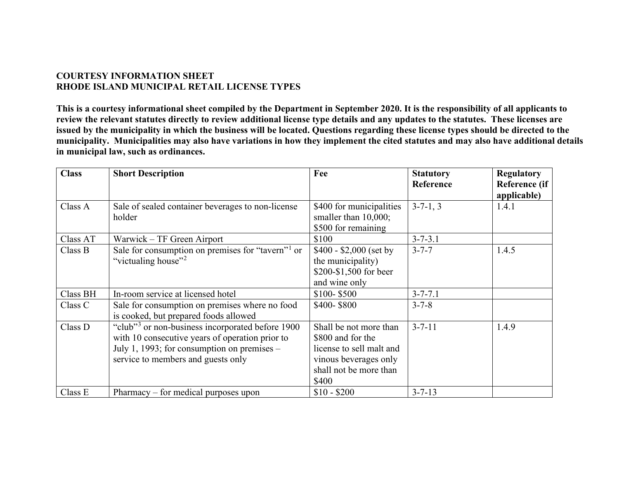## **COURTESY INFORMATION SHEET RHODE ISLAND MUNICIPAL RETAIL LICENSE TYPES**

**This is a courtesy informational sheet compiled by the Department in September 2020. It is the responsibility of all applicants to review the relevant statutes directly to review additional license type details and any updates to the statutes. These licenses are issued by the municipality in which the business will be located. Questions regarding these license types should be directed to the municipality. Municipalities may also have variations in how they implement the cited statutes and may also have additional details in municipal law, such as ordinances.**

| <b>Class</b> | <b>Short Description</b>                                      | Fee                      | <b>Statutory</b> | <b>Regulatory</b> |
|--------------|---------------------------------------------------------------|--------------------------|------------------|-------------------|
|              |                                                               |                          | Reference        | Reference (if     |
|              |                                                               |                          |                  | applicable)       |
| Class A      | Sale of sealed container beverages to non-license             | \$400 for municipalities | $3-7-1, 3$       | 1.4.1             |
|              | holder                                                        | smaller than 10,000;     |                  |                   |
|              |                                                               | \$500 for remaining      |                  |                   |
| Class AT     | Warwick – TF Green Airport                                    | \$100                    | $3 - 7 - 3.1$    |                   |
| Class B      | Sale for consumption on premises for "tavern" <sup>1</sup> or | $$400 - $2,000$ (set by  | $3 - 7 - 7$      | 1.4.5             |
|              | "victualing house" <sup>2</sup>                               | the municipality)        |                  |                   |
|              |                                                               | \$200-\$1,500 for beer   |                  |                   |
|              |                                                               | and wine only            |                  |                   |
| Class BH     | In-room service at licensed hotel                             | $$100 - $500$            | $3 - 7 - 7.1$    |                   |
| Class C      | Sale for consumption on premises where no food                | \$400-\$800              | $3 - 7 - 8$      |                   |
|              | is cooked, but prepared foods allowed                         |                          |                  |                   |
| Class D      | "club" <sup>3</sup> or non-business incorporated before 1900  | Shall be not more than   | $3 - 7 - 11$     | 1.4.9             |
|              | with 10 consecutive years of operation prior to               | \$800 and for the        |                  |                   |
|              | July 1, 1993; for consumption on premises $-$                 | license to sell malt and |                  |                   |
|              | service to members and guests only                            | vinous beverages only    |                  |                   |
|              |                                                               | shall not be more than   |                  |                   |
|              |                                                               | \$400                    |                  |                   |
| Class E      | Pharmacy – for medical purposes upon                          | $$10 - $200$             | $3 - 7 - 13$     |                   |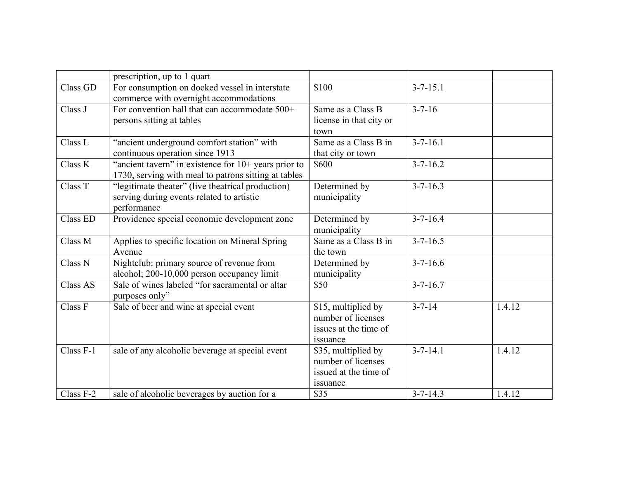|           | prescription, up to 1 quart                                                                                   |                                                                                |                |        |
|-----------|---------------------------------------------------------------------------------------------------------------|--------------------------------------------------------------------------------|----------------|--------|
| Class GD  | For consumption on docked vessel in interstate<br>commerce with overnight accommodations                      | \$100                                                                          | $3 - 7 - 15.1$ |        |
| Class J   | For convention hall that can accommodate 500+<br>persons sitting at tables                                    | Same as a Class B<br>license in that city or<br>town                           | $3 - 7 - 16$   |        |
| Class L   | "ancient underground comfort station" with<br>continuous operation since 1913                                 | Same as a Class B in<br>that city or town                                      | $3 - 7 - 16.1$ |        |
| Class K   | "ancient tavern" in existence for 10+ years prior to<br>1730, serving with meal to patrons sitting at tables  | \$600                                                                          | $3 - 7 - 16.2$ |        |
| Class T   | "legitimate theater" (live theatrical production)<br>serving during events related to artistic<br>performance | Determined by<br>municipality                                                  | $3 - 7 - 16.3$ |        |
| Class ED  | Providence special economic development zone                                                                  | Determined by<br>municipality                                                  | $3 - 7 - 16.4$ |        |
| Class M   | Applies to specific location on Mineral Spring<br>Avenue                                                      | Same as a Class B in<br>the town                                               | $3 - 7 - 16.5$ |        |
| Class N   | Nightclub: primary source of revenue from<br>alcohol; 200-10,000 person occupancy limit                       | Determined by<br>municipality                                                  | $3 - 7 - 16.6$ |        |
| Class AS  | Sale of wines labeled "for sacramental or altar<br>purposes only"                                             | \$50                                                                           | $3 - 7 - 16.7$ |        |
| Class F   | Sale of beer and wine at special event                                                                        | \$15, multiplied by<br>number of licenses<br>issues at the time of<br>issuance | $3 - 7 - 14$   | 1.4.12 |
| Class F-1 | sale of any alcoholic beverage at special event                                                               | \$35, multiplied by<br>number of licenses<br>issued at the time of<br>issuance | $3 - 7 - 14.1$ | 1.4.12 |
| Class F-2 | sale of alcoholic beverages by auction for a                                                                  | \$35                                                                           | $3 - 7 - 14.3$ | 1.4.12 |